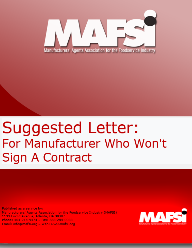

## Suggested Letter: For Manufacturer Who Won't Sign A Contract

Published as a service by: Manufacturers' Agents Association for the Foodservice Industry (MAFSI) 1199 Euclid Avenue, Atlanta, GA 30307 Phone: 404-214-9474 - Fax: 888-254-0033 Email: info@mafsi.org - Web: www.mafsi.org